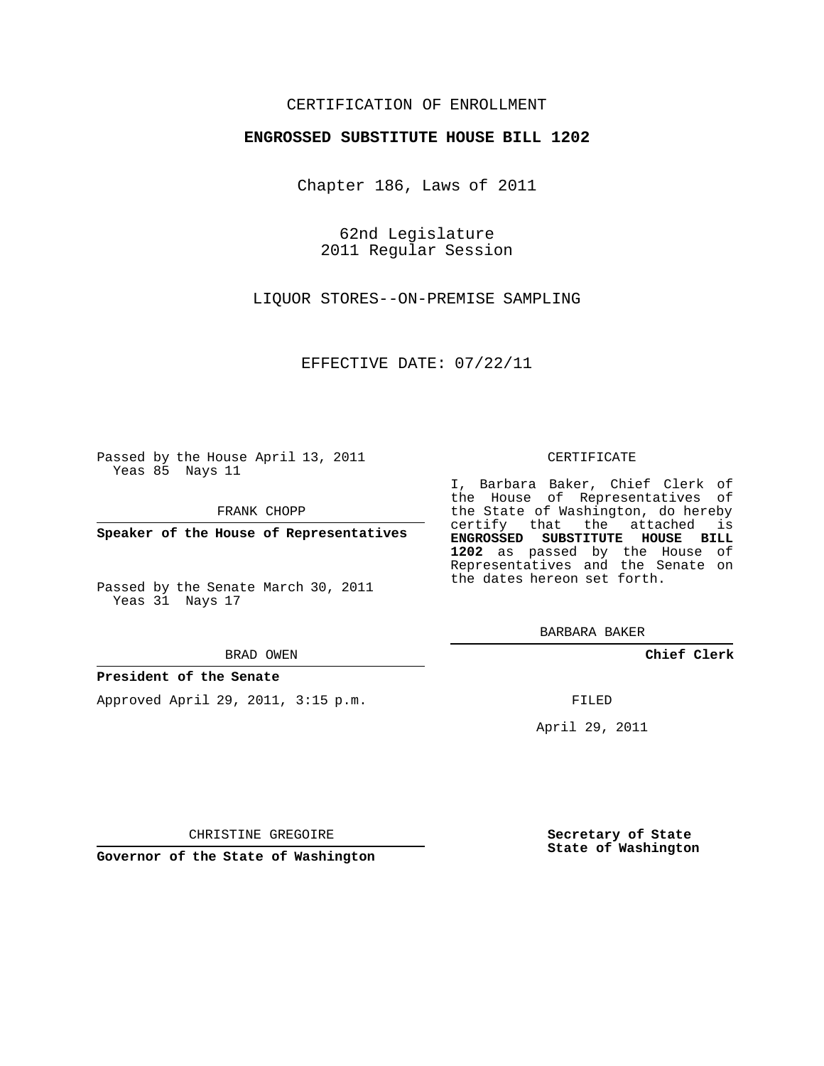## CERTIFICATION OF ENROLLMENT

### **ENGROSSED SUBSTITUTE HOUSE BILL 1202**

Chapter 186, Laws of 2011

62nd Legislature 2011 Regular Session

LIQUOR STORES--ON-PREMISE SAMPLING

EFFECTIVE DATE: 07/22/11

Passed by the House April 13, 2011 Yeas 85 Nays 11

FRANK CHOPP

**Speaker of the House of Representatives**

Passed by the Senate March 30, 2011 Yeas 31 Nays 17

#### BRAD OWEN

### **President of the Senate**

Approved April 29, 2011, 3:15 p.m.

#### CERTIFICATE

I, Barbara Baker, Chief Clerk of the House of Representatives of the State of Washington, do hereby certify that the attached is **ENGROSSED SUBSTITUTE HOUSE BILL 1202** as passed by the House of Representatives and the Senate on the dates hereon set forth.

BARBARA BAKER

**Chief Clerk**

FILED

April 29, 2011

CHRISTINE GREGOIRE

**Governor of the State of Washington**

**Secretary of State State of Washington**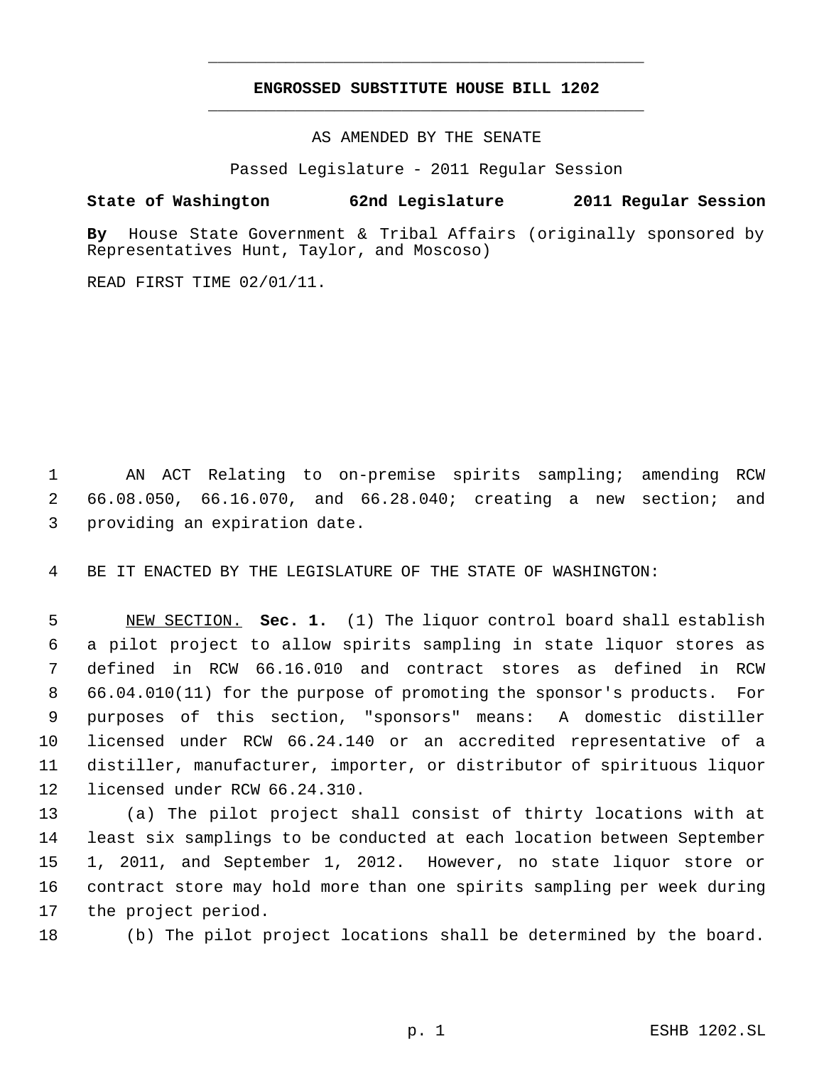# **ENGROSSED SUBSTITUTE HOUSE BILL 1202** \_\_\_\_\_\_\_\_\_\_\_\_\_\_\_\_\_\_\_\_\_\_\_\_\_\_\_\_\_\_\_\_\_\_\_\_\_\_\_\_\_\_\_\_\_

\_\_\_\_\_\_\_\_\_\_\_\_\_\_\_\_\_\_\_\_\_\_\_\_\_\_\_\_\_\_\_\_\_\_\_\_\_\_\_\_\_\_\_\_\_

AS AMENDED BY THE SENATE

Passed Legislature - 2011 Regular Session

## **State of Washington 62nd Legislature 2011 Regular Session**

**By** House State Government & Tribal Affairs (originally sponsored by Representatives Hunt, Taylor, and Moscoso)

READ FIRST TIME 02/01/11.

 AN ACT Relating to on-premise spirits sampling; amending RCW 66.08.050, 66.16.070, and 66.28.040; creating a new section; and providing an expiration date.

BE IT ENACTED BY THE LEGISLATURE OF THE STATE OF WASHINGTON:

 NEW SECTION. **Sec. 1.** (1) The liquor control board shall establish a pilot project to allow spirits sampling in state liquor stores as defined in RCW 66.16.010 and contract stores as defined in RCW 66.04.010(11) for the purpose of promoting the sponsor's products. For purposes of this section, "sponsors" means: A domestic distiller licensed under RCW 66.24.140 or an accredited representative of a distiller, manufacturer, importer, or distributor of spirituous liquor licensed under RCW 66.24.310.

 (a) The pilot project shall consist of thirty locations with at least six samplings to be conducted at each location between September 1, 2011, and September 1, 2012. However, no state liquor store or contract store may hold more than one spirits sampling per week during the project period.

(b) The pilot project locations shall be determined by the board.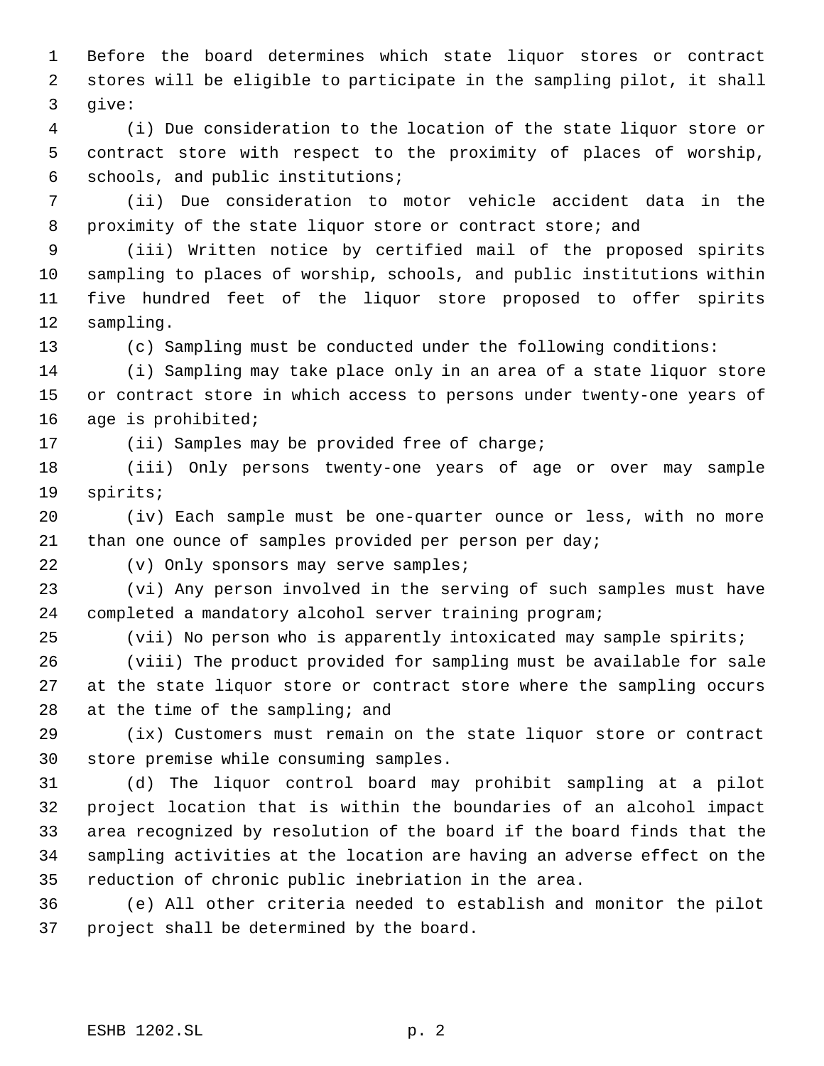Before the board determines which state liquor stores or contract stores will be eligible to participate in the sampling pilot, it shall give:

 (i) Due consideration to the location of the state liquor store or contract store with respect to the proximity of places of worship, schools, and public institutions;

 (ii) Due consideration to motor vehicle accident data in the proximity of the state liquor store or contract store; and

 (iii) Written notice by certified mail of the proposed spirits sampling to places of worship, schools, and public institutions within five hundred feet of the liquor store proposed to offer spirits sampling.

(c) Sampling must be conducted under the following conditions:

 (i) Sampling may take place only in an area of a state liquor store or contract store in which access to persons under twenty-one years of age is prohibited;

(ii) Samples may be provided free of charge;

 (iii) Only persons twenty-one years of age or over may sample spirits;

 (iv) Each sample must be one-quarter ounce or less, with no more than one ounce of samples provided per person per day;

(v) Only sponsors may serve samples;

 (vi) Any person involved in the serving of such samples must have completed a mandatory alcohol server training program;

(vii) No person who is apparently intoxicated may sample spirits;

 (viii) The product provided for sampling must be available for sale at the state liquor store or contract store where the sampling occurs 28 at the time of the sampling; and

 (ix) Customers must remain on the state liquor store or contract store premise while consuming samples.

 (d) The liquor control board may prohibit sampling at a pilot project location that is within the boundaries of an alcohol impact area recognized by resolution of the board if the board finds that the sampling activities at the location are having an adverse effect on the reduction of chronic public inebriation in the area.

 (e) All other criteria needed to establish and monitor the pilot project shall be determined by the board.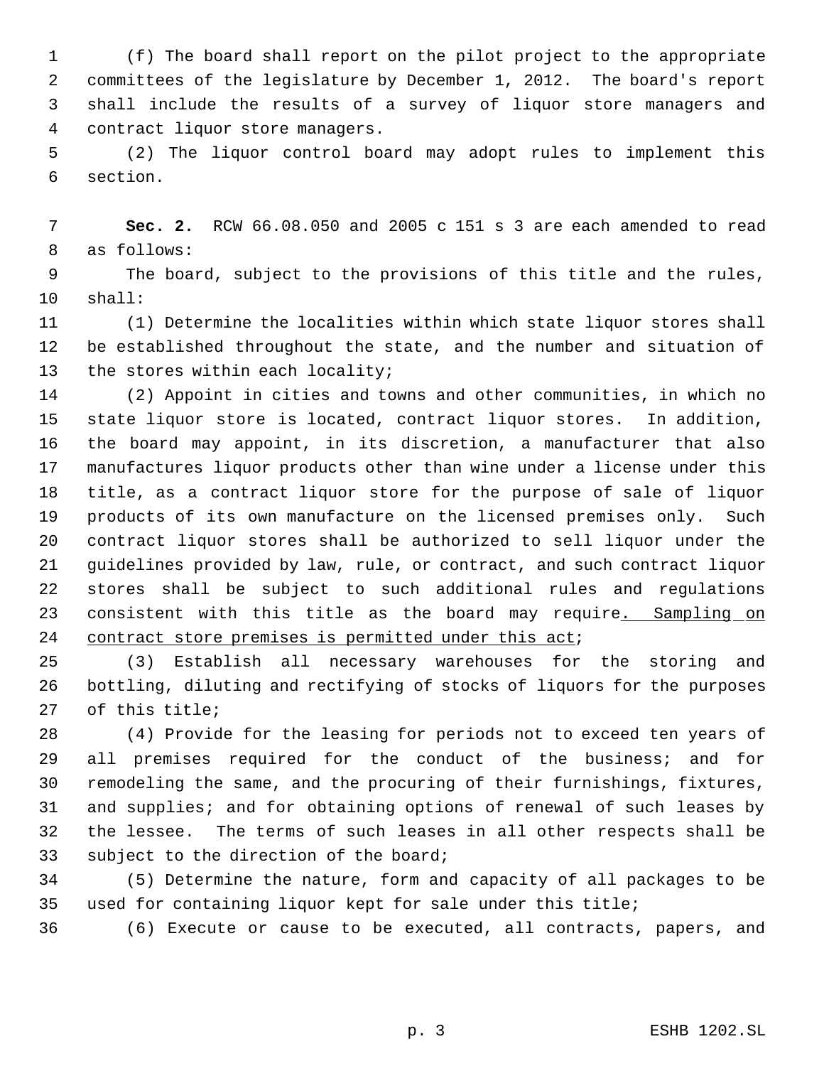(f) The board shall report on the pilot project to the appropriate committees of the legislature by December 1, 2012. The board's report shall include the results of a survey of liquor store managers and contract liquor store managers.

 (2) The liquor control board may adopt rules to implement this section.

 **Sec. 2.** RCW 66.08.050 and 2005 c 151 s 3 are each amended to read as follows:

 The board, subject to the provisions of this title and the rules, shall:

 (1) Determine the localities within which state liquor stores shall be established throughout the state, and the number and situation of 13 the stores within each locality;

 (2) Appoint in cities and towns and other communities, in which no state liquor store is located, contract liquor stores. In addition, the board may appoint, in its discretion, a manufacturer that also manufactures liquor products other than wine under a license under this title, as a contract liquor store for the purpose of sale of liquor products of its own manufacture on the licensed premises only. Such contract liquor stores shall be authorized to sell liquor under the guidelines provided by law, rule, or contract, and such contract liquor stores shall be subject to such additional rules and regulations 23 consistent with this title as the board may require. Sampling on 24 contract store premises is permitted under this act;

 (3) Establish all necessary warehouses for the storing and bottling, diluting and rectifying of stocks of liquors for the purposes of this title;

 (4) Provide for the leasing for periods not to exceed ten years of all premises required for the conduct of the business; and for remodeling the same, and the procuring of their furnishings, fixtures, and supplies; and for obtaining options of renewal of such leases by the lessee. The terms of such leases in all other respects shall be subject to the direction of the board;

 (5) Determine the nature, form and capacity of all packages to be used for containing liquor kept for sale under this title;

(6) Execute or cause to be executed, all contracts, papers, and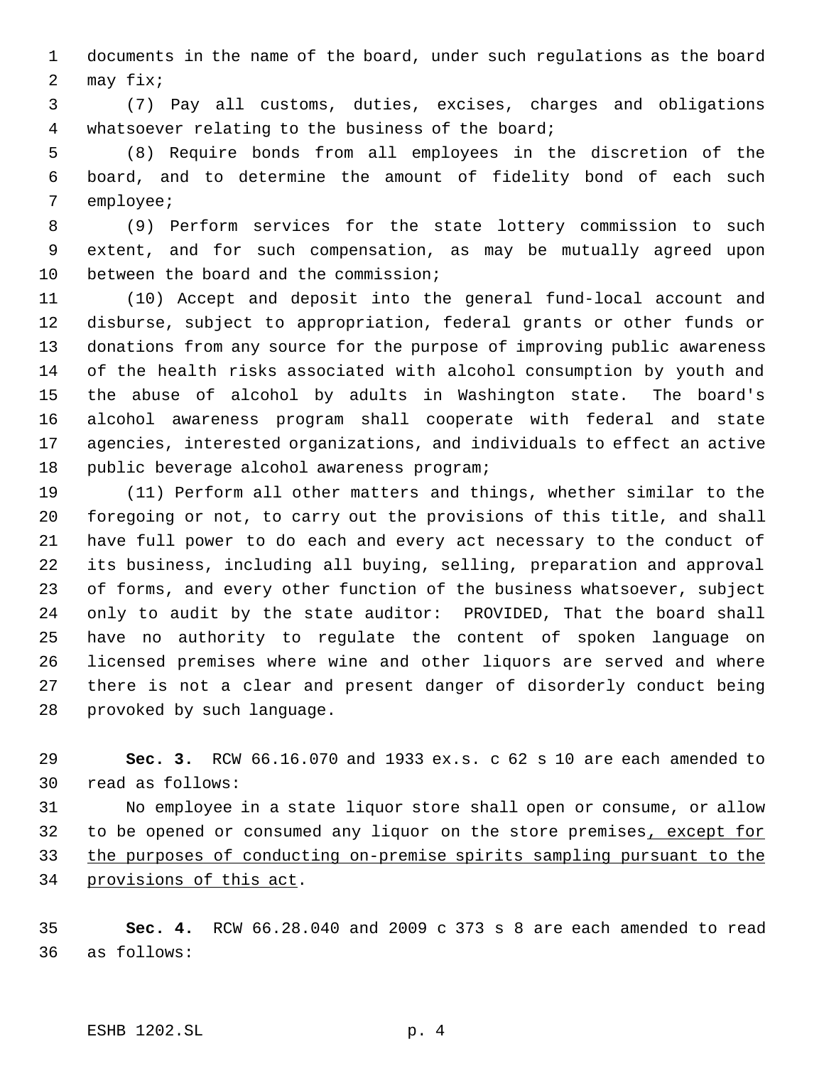documents in the name of the board, under such regulations as the board may fix;

 (7) Pay all customs, duties, excises, charges and obligations whatsoever relating to the business of the board;

 (8) Require bonds from all employees in the discretion of the board, and to determine the amount of fidelity bond of each such employee;

 (9) Perform services for the state lottery commission to such extent, and for such compensation, as may be mutually agreed upon between the board and the commission;

 (10) Accept and deposit into the general fund-local account and disburse, subject to appropriation, federal grants or other funds or donations from any source for the purpose of improving public awareness of the health risks associated with alcohol consumption by youth and the abuse of alcohol by adults in Washington state. The board's alcohol awareness program shall cooperate with federal and state agencies, interested organizations, and individuals to effect an active public beverage alcohol awareness program;

 (11) Perform all other matters and things, whether similar to the foregoing or not, to carry out the provisions of this title, and shall have full power to do each and every act necessary to the conduct of its business, including all buying, selling, preparation and approval of forms, and every other function of the business whatsoever, subject only to audit by the state auditor: PROVIDED, That the board shall have no authority to regulate the content of spoken language on licensed premises where wine and other liquors are served and where there is not a clear and present danger of disorderly conduct being provoked by such language.

 **Sec. 3.** RCW 66.16.070 and 1933 ex.s. c 62 s 10 are each amended to read as follows:

 No employee in a state liquor store shall open or consume, or allow 32 to be opened or consumed any liquor on the store premises, except for the purposes of conducting on-premise spirits sampling pursuant to the provisions of this act.

 **Sec. 4.** RCW 66.28.040 and 2009 c 373 s 8 are each amended to read as follows: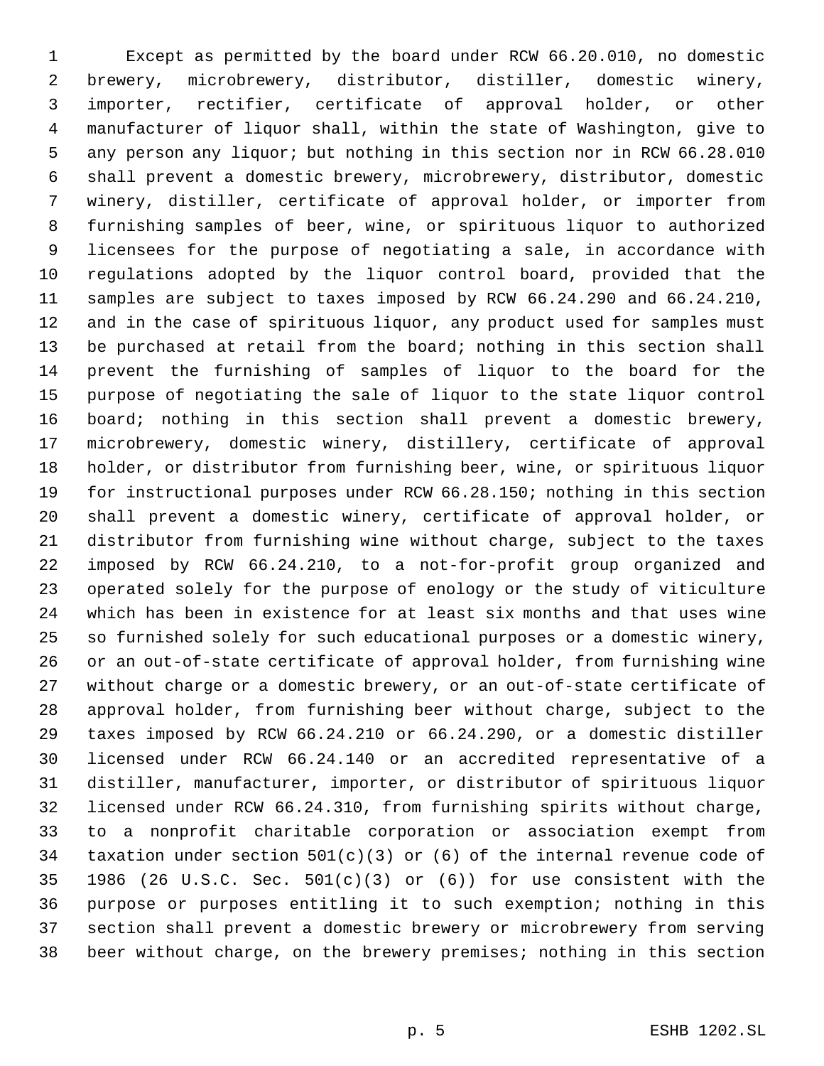Except as permitted by the board under RCW 66.20.010, no domestic brewery, microbrewery, distributor, distiller, domestic winery, importer, rectifier, certificate of approval holder, or other manufacturer of liquor shall, within the state of Washington, give to any person any liquor; but nothing in this section nor in RCW 66.28.010 shall prevent a domestic brewery, microbrewery, distributor, domestic winery, distiller, certificate of approval holder, or importer from furnishing samples of beer, wine, or spirituous liquor to authorized licensees for the purpose of negotiating a sale, in accordance with regulations adopted by the liquor control board, provided that the samples are subject to taxes imposed by RCW 66.24.290 and 66.24.210, and in the case of spirituous liquor, any product used for samples must be purchased at retail from the board; nothing in this section shall prevent the furnishing of samples of liquor to the board for the purpose of negotiating the sale of liquor to the state liquor control board; nothing in this section shall prevent a domestic brewery, microbrewery, domestic winery, distillery, certificate of approval holder, or distributor from furnishing beer, wine, or spirituous liquor for instructional purposes under RCW 66.28.150; nothing in this section shall prevent a domestic winery, certificate of approval holder, or distributor from furnishing wine without charge, subject to the taxes imposed by RCW 66.24.210, to a not-for-profit group organized and operated solely for the purpose of enology or the study of viticulture which has been in existence for at least six months and that uses wine so furnished solely for such educational purposes or a domestic winery, or an out-of-state certificate of approval holder, from furnishing wine without charge or a domestic brewery, or an out-of-state certificate of approval holder, from furnishing beer without charge, subject to the taxes imposed by RCW 66.24.210 or 66.24.290, or a domestic distiller licensed under RCW 66.24.140 or an accredited representative of a distiller, manufacturer, importer, or distributor of spirituous liquor licensed under RCW 66.24.310, from furnishing spirits without charge, to a nonprofit charitable corporation or association exempt from taxation under section 501(c)(3) or (6) of the internal revenue code of 1986 (26 U.S.C. Sec. 501(c)(3) or (6)) for use consistent with the purpose or purposes entitling it to such exemption; nothing in this section shall prevent a domestic brewery or microbrewery from serving beer without charge, on the brewery premises; nothing in this section